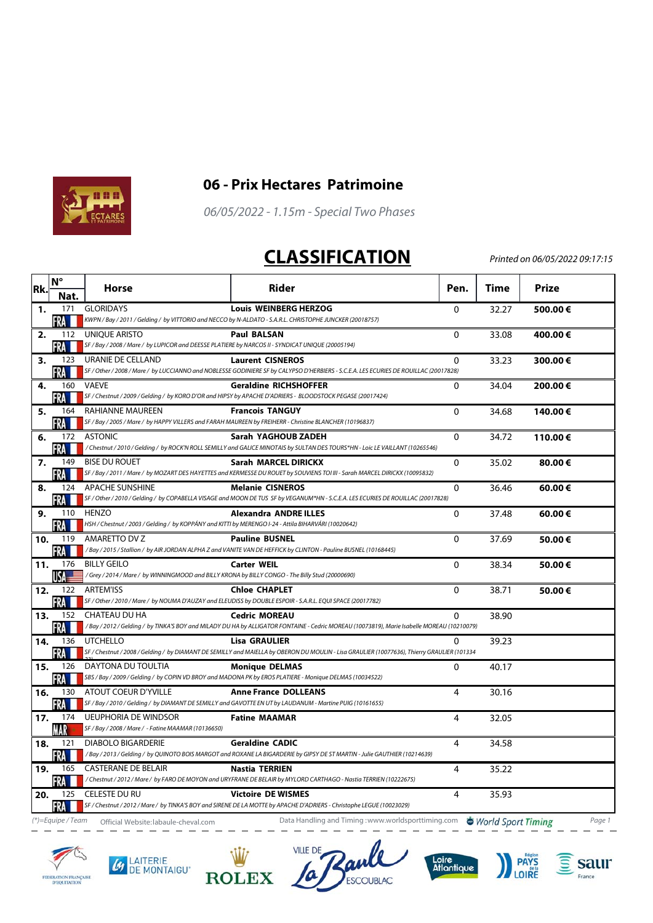



## **06 - Prix Hectares Patrimoine**

06/05/2022 - 1.15m - Special Two Phases

## **CLASSIFICATION**

Printed on 06/05/2022 09:17:15

| Rk. | $N^{\circ}$       | Horse                                                                                                                 | Rider                                                                                                                                                       | Pen.           | Time  | Prize   |
|-----|-------------------|-----------------------------------------------------------------------------------------------------------------------|-------------------------------------------------------------------------------------------------------------------------------------------------------------|----------------|-------|---------|
|     | Nat.              |                                                                                                                       |                                                                                                                                                             |                |       |         |
| 1.  | 171<br>FRA        | <b>GLORIDAYS</b>                                                                                                      | <b>Louis WEINBERG HERZOG</b><br>KWPN / Bay / 2011 / Gelding / by VITTORIO and NECCO by N-ALDATO - S.A.R.L. CHRISTOPHE JUNCKER (20018757)                    | $\Omega$       | 32.27 | 500.00€ |
| 2.  | 112               | UNIOUE ARISTO                                                                                                         | <b>Paul BALSAN</b>                                                                                                                                          | $\Omega$       | 33.08 | 400.00€ |
|     | FRA               | SF / Bay / 2008 / Mare / by LUPICOR and DEESSE PLATIERE by NARCOS II - SYNDICAT UNIQUE (20005194)                     |                                                                                                                                                             |                |       |         |
| з.  | 123               | URANIE DE CELLAND                                                                                                     | <b>Laurent CISNEROS</b>                                                                                                                                     | $\Omega$       | 33.23 | 300.00€ |
|     | FRA               |                                                                                                                       | SF / Other / 2008 / Mare / by LUCCIANNO and NOBLESSE GODINIERE SF by CALYPSO D'HERBIERS - S.C.E.A. LES ECURIES DE ROUILLAC (20017828)                       |                |       |         |
| 4.  | 160               | VAEVE                                                                                                                 | <b>Geraldine RICHSHOFFER</b>                                                                                                                                | $\mathbf{0}$   | 34.04 | 200.00€ |
|     | FRA<br>164        | <b>RAHIANNE MAUREEN</b>                                                                                               | SF / Chestnut / 2009 / Gelding / by KORO D'OR and HIPSY by APACHE D'ADRIERS - BLOODSTOCK PEGASE (20017424)<br><b>Francois TANGUY</b>                        | $\Omega$       |       |         |
| 5.  | FRA M             |                                                                                                                       | SF / Bay / 2005 / Mare / by HAPPY VILLERS and FARAH MAUREEN by FREIHERR - Christine BLANCHER (10196837)                                                     |                | 34.68 | 140.00€ |
| 6.  | 172               | ASTONIC                                                                                                               | Sarah YAGHOUB ZADEH                                                                                                                                         | $\mathbf{0}$   | 34.72 | 110.00€ |
|     | <b>FRAME</b>      |                                                                                                                       | / Chestnut / 2010 / Gelding / by ROCK'N ROLL SEMILLY and GALICE MINOTAIS by SULTAN DES TOURS*HN - Loic LE VAILLANT (10265546)                               |                |       |         |
| 7.  | 149               | <b>BISE DU ROUET</b>                                                                                                  | Sarah MARCEL DIRICKX                                                                                                                                        | $\mathbf 0$    | 35.02 | 80.00€  |
|     | FRA M             |                                                                                                                       | SF / Bay / 2011 / Mare / by MOZART DES HAYETTES and KERMESSE DU ROUET by SOUVIENS TOI III - Sarah MARCEL DIRICKX (10095832)                                 |                |       |         |
| 8.  | 124<br>FRA        | APACHE SUNSHINE                                                                                                       | <b>Melanie CISNEROS</b><br>SF / Other / 2010 / Gelding / by COPABELLA VISAGE and MOON DE TUS SF by VEGANUM*HN - S.C.E.A. LES ECURIES DE ROUILLAC (20017828) | $\Omega$       | 36.46 | 60.00€  |
| 9.  | 110               | <b>HENZO</b>                                                                                                          | <b>Alexandra ANDRE ILLES</b>                                                                                                                                | $\mathbf 0$    | 37.48 | 60.00€  |
|     | ∙RA               | HSH / Chestnut / 2003 / Gelding / by KOPPÁNY and KITTI by MERENGO I-24 - Attila BIHARVÁRI (10020642)                  |                                                                                                                                                             |                |       |         |
| 10. | 119               | AMARETTO DV Z                                                                                                         | <b>Pauline BUSNEL</b>                                                                                                                                       | $\Omega$       | 37.69 | 50.00€  |
|     | FRA               |                                                                                                                       | /Bay / 2015 / Stallion / by AIR JORDAN ALPHA Z and VANITE VAN DE HEFFICK by CLINTON - Pauline BUSNEL (10168445)                                             |                |       |         |
| 11. | 176               | <b>BILLY GEILO</b><br>/Grey / 2014 / Mare / by WINNINGMOOD and BILLY KRONA by BILLY CONGO - The Billy Stud (20000690) | <b>Carter WEIL</b>                                                                                                                                          | 0              | 38.34 | 50.00€  |
| 12. | USA<br>122        | <b>ARTEM'ISS</b>                                                                                                      | <b>Chloe CHAPLET</b>                                                                                                                                        | $\mathbf{0}$   | 38.71 | 50.00€  |
|     | FRA               |                                                                                                                       | SF / Other / 2010 / Mare / by NOUMA D'AUZAY and ELEUDISS by DOUBLE ESPOIR - S.A.R.L. EQUI SPACE (20017782)                                                  |                |       |         |
| 13. | 152               | CHATEAU DU HA                                                                                                         | <b>Cedric MOREAU</b>                                                                                                                                        | $\Omega$       | 38.90 |         |
|     | FRA               |                                                                                                                       | /Bay / 2012 / Gelding / by TINKA'S BOY and MILADY DU HA by ALLIGATOR FONTAINE - Cedric MOREAU (10073819), Marie Isabelle MOREAU (10210079)                  |                |       |         |
| 14. | 136               | <b>UTCHELLO</b>                                                                                                       | <b>Lisa GRAULIER</b>                                                                                                                                        | $\Omega$       | 39.23 |         |
|     | FRA               | DAYTONA DU TOULTIA                                                                                                    | SF / Chestnut / 2008 / Gelding / by DIAMANT DE SEMILLY and MAIELLA by OBERON DU MOULIN - Lisa GRAULIER (10077636), Thierry GRAULIER (101334                 |                |       |         |
| 15. | 126<br><b>FRA</b> |                                                                                                                       | <b>Monique DELMAS</b><br>SBS / Bay / 2009 / Gelding / by COPIN VD BROY and MADONA PK by EROS PLATIERE - Monique DELMAS (10034522)                           | $\mathbf 0$    | 40.17 |         |
| 16. | 130               | ATOUT COEUR D'YVILLE                                                                                                  | <b>Anne France DOLLEANS</b>                                                                                                                                 | 4              | 30.16 |         |
|     | FRA               |                                                                                                                       | SF / Bay / 2010 / Gelding / by DIAMANT DE SEMILLY and GAVOTTE EN UT by LAUDANUM - Martine PUIG (10161655)                                                   |                |       |         |
| 17. | 174               | <b>UEUPHORIA DE WINDSOR</b>                                                                                           | <b>Fatine MAAMAR</b>                                                                                                                                        | $\overline{4}$ | 32.05 |         |
|     | MAR               | SF / Bay / 2008 / Mare / - Fatine MAAMAR (10136650)                                                                   |                                                                                                                                                             |                |       |         |
| 18. | 121               | DIABOLO BIGARDERIE                                                                                                    | <b>Geraldine CADIC</b><br>/Bay / 2013 / Gelding / by QUINOTO BOIS MARGOT and ROXANE LA BIGARDERIE by GIPSY DE ST MARTIN - Julie GAUTHIER (10214639)         | 4              | 34.58 |         |
| 19. | FRA<br>165        | <b>CASTERANE DE BELAIR</b>                                                                                            | <b>Nastia TERRIEN</b>                                                                                                                                       | 4              | 35.22 |         |
|     | FRA               |                                                                                                                       | / Chestnut / 2012 / Mare / by FARO DE MOYON and URYFRANE DE BELAIR by MYLORD CARTHAGO - Nastia TERRIEN (10222675)                                           |                |       |         |
| 20. | 125               | <b>CELESTE DU RU</b>                                                                                                  | <b>Victoire DE WISMES</b>                                                                                                                                   | 4              | 35.93 |         |
|     | <b>FRA</b>        |                                                                                                                       | SF / Chestnut / 2012 / Mare / by TINKA'S BOY and SIRENE DE LA MOTTE by APACHE D'ADRIERS - Christophe LEGUE (10023029)                                       |                |       |         |

(\*)=Equipe / Team Official Website: labaule-cheval.com Data Handling and Timing :www.worldsporttiming.com World Sport Timing Page 1